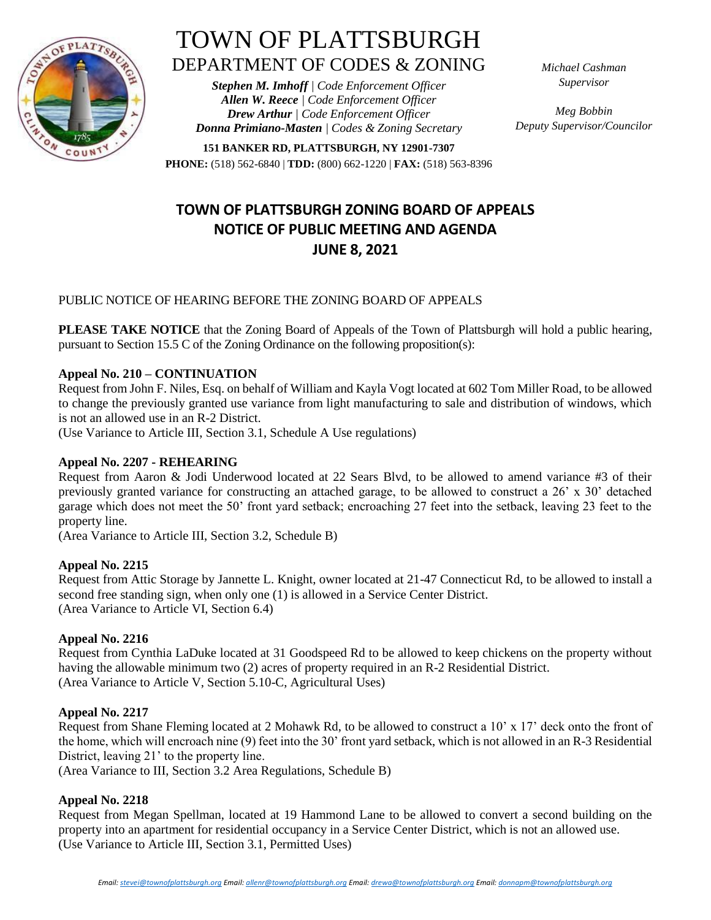

# TOWN OF PLATTSBURGH DEPARTMENT OF CODES & ZONING

*Stephen M. Imhoff | Code Enforcement Officer Allen W. Reece | Code Enforcement Officer Drew Arthur | Code Enforcement Officer Donna Primiano-Masten | Codes & Zoning Secretary* *Michael Cashman Supervisor*

*Meg Bobbin Deputy Supervisor/Councilor*

**151 BANKER RD, PLATTSBURGH, NY 12901-7307 PHONE:** (518) 562-6840 | **TDD:** (800) 662-1220 | **FAX:** (518) 563-8396

# **TOWN OF PLATTSBURGH ZONING BOARD OF APPEALS NOTICE OF PUBLIC MEETING AND AGENDA JUNE 8, 2021**

## PUBLIC NOTICE OF HEARING BEFORE THE ZONING BOARD OF APPEALS

**PLEASE TAKE NOTICE** that the Zoning Board of Appeals of the Town of Plattsburgh will hold a public hearing, pursuant to Section 15.5 C of the Zoning Ordinance on the following proposition(s):

### **Appeal No. 210 – CONTINUATION**

Request from John F. Niles, Esq. on behalf of William and Kayla Vogt located at 602 Tom Miller Road, to be allowed to change the previously granted use variance from light manufacturing to sale and distribution of windows, which is not an allowed use in an R-2 District.

(Use Variance to Article III, Section 3.1, Schedule A Use regulations)

#### **Appeal No. 2207 - REHEARING**

Request from Aaron & Jodi Underwood located at 22 Sears Blvd, to be allowed to amend variance #3 of their previously granted variance for constructing an attached garage, to be allowed to construct a 26' x 30' detached garage which does not meet the 50' front yard setback; encroaching 27 feet into the setback, leaving 23 feet to the property line.

(Area Variance to Article III, Section 3.2, Schedule B)

#### **Appeal No. 2215**

Request from Attic Storage by Jannette L. Knight, owner located at 21-47 Connecticut Rd, to be allowed to install a second free standing sign, when only one (1) is allowed in a Service Center District. (Area Variance to Article VI, Section 6.4)

#### **Appeal No. 2216**

Request from Cynthia LaDuke located at 31 Goodspeed Rd to be allowed to keep chickens on the property without having the allowable minimum two (2) acres of property required in an R-2 Residential District. (Area Variance to Article V, Section 5.10-C, Agricultural Uses)

#### **Appeal No. 2217**

Request from Shane Fleming located at 2 Mohawk Rd, to be allowed to construct a 10' x 17' deck onto the front of the home, which will encroach nine (9) feet into the 30' front yard setback, which is not allowed in an R-3 Residential District, leaving 21' to the property line.

(Area Variance to III, Section 3.2 Area Regulations, Schedule B)

#### **Appeal No. 2218**

Request from Megan Spellman, located at 19 Hammond Lane to be allowed to convert a second building on the property into an apartment for residential occupancy in a Service Center District, which is not an allowed use. (Use Variance to Article III, Section 3.1, Permitted Uses)